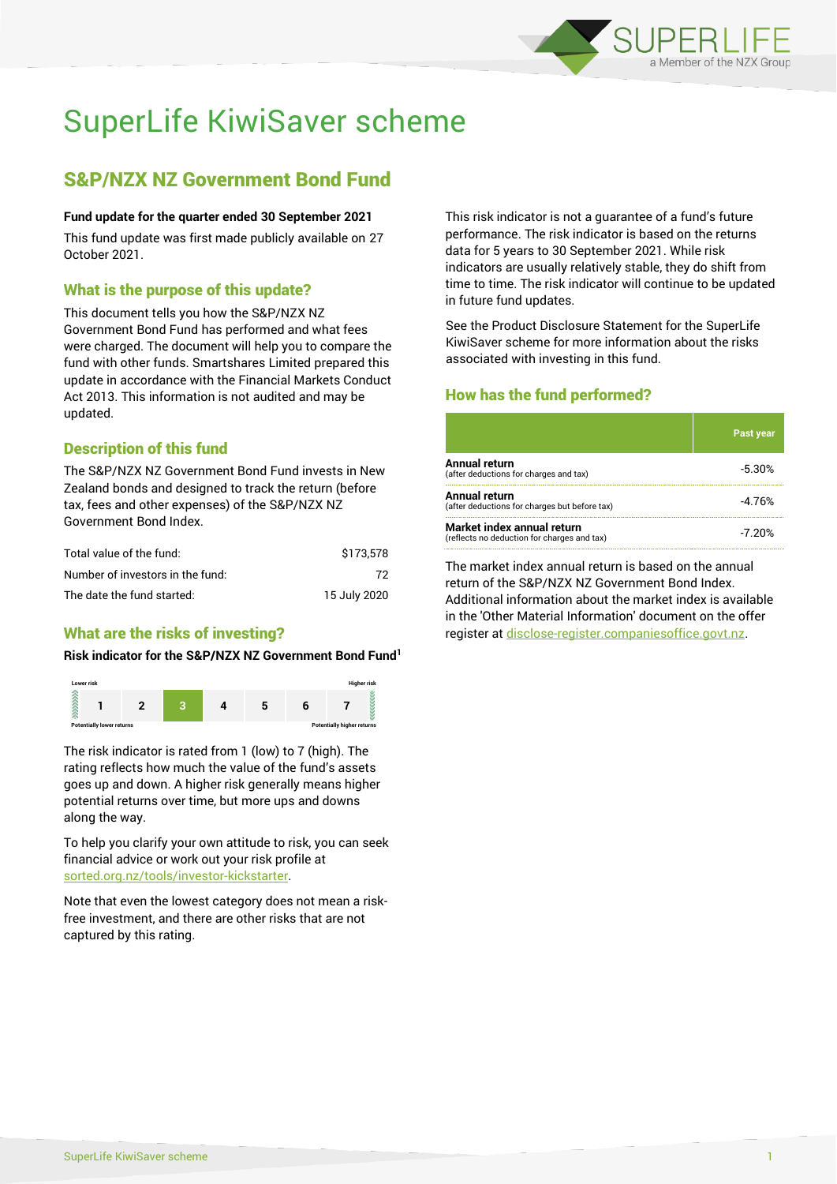

# SuperLife KiwiSaver scheme

# S&P/NZX NZ Government Bond Fund

#### **Fund update for the quarter ended 30 September 2021**

This fund update was first made publicly available on 27 October 2021.

# What is the purpose of this update?

This document tells you how the S&P/NZX NZ Government Bond Fund has performed and what fees were charged. The document will help you to compare the fund with other funds. Smartshares Limited prepared this update in accordance with the Financial Markets Conduct Act 2013. This information is not audited and may be updated.

# Description of this fund

The S&P/NZX NZ Government Bond Fund invests in New Zealand bonds and designed to track the return (before tax, fees and other expenses) of the S&P/NZX NZ Government Bond Index.

| Total value of the fund:         | \$173.578    |
|----------------------------------|--------------|
| Number of investors in the fund: | 72           |
| The date the fund started:       | 15 July 2020 |

# What are the risks of investing?

#### **Risk indicator for the S&P/NZX NZ Government Bond Fund<sup>1</sup>**



The risk indicator is rated from 1 (low) to 7 (high). The rating reflects how much the value of the fund's assets goes up and down. A higher risk generally means higher potential returns over time, but more ups and downs along the way.

To help you clarify your own attitude to risk, you can seek financial advice or work out your risk profile at [sorted.org.nz/tools/investor-kickstarter.](http://www.sorted.org.nz/tools/investor-kickstarter)

Note that even the lowest category does not mean a riskfree investment, and there are other risks that are not captured by this rating.

This risk indicator is not a guarantee of a fund's future performance. The risk indicator is based on the returns data for 5 years to 30 September 2021. While risk indicators are usually relatively stable, they do shift from time to time. The risk indicator will continue to be updated in future fund updates.

See the Product Disclosure Statement for the SuperLife KiwiSaver scheme for more information about the risks associated with investing in this fund.

# How has the fund performed?

|                                                                           | <b>Past year</b> |
|---------------------------------------------------------------------------|------------------|
| Annual return<br>(after deductions for charges and tax)                   | $-5.30%$         |
| Annual return<br>(after deductions for charges but before tax)            | $-4.76%$         |
| Market index annual return<br>(reflects no deduction for charges and tax) | $-7.20%$         |

The market index annual return is based on the annual return of the S&P/NZX NZ Government Bond Index. Additional information about the market index is available in the 'Other Material Information' document on the offer register a[t disclose-register.companiesoffice.govt.nz.](http://www.disclose-register.companiesoffice.govt.nz/)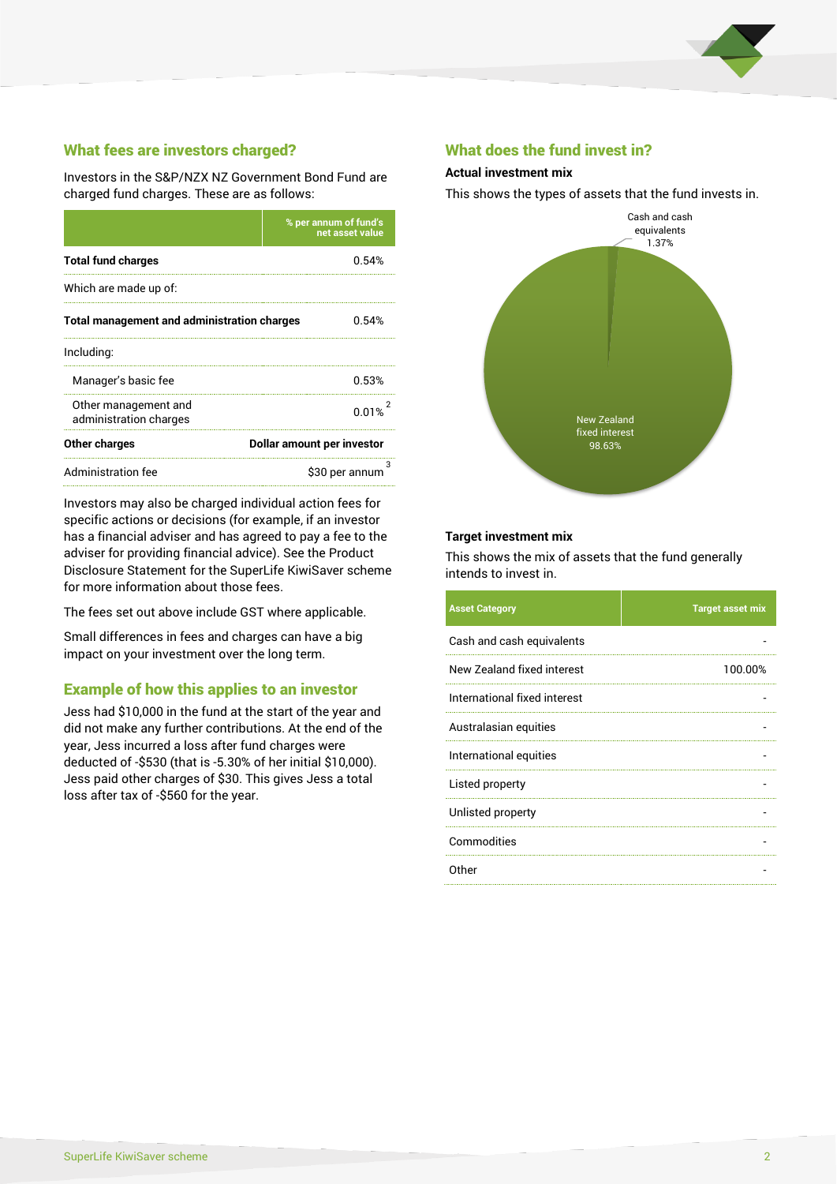

# What fees are investors charged?

Investors in the S&P/NZX NZ Government Bond Fund are charged fund charges. These are as follows:

|                                                    | % per annum of fund's<br>net asset value |  |
|----------------------------------------------------|------------------------------------------|--|
| <b>Total fund charges</b>                          | 0.54%                                    |  |
| Which are made up of:                              |                                          |  |
| <b>Total management and administration charges</b> | 0.54%                                    |  |
| Including:                                         |                                          |  |
| Manager's basic fee                                | 0.53%                                    |  |
| Other management and<br>administration charges     | 0.01%                                    |  |
| Other charges                                      | Dollar amount per investor               |  |
| Administration fee                                 | з<br>\$30 per annum                      |  |

Investors may also be charged individual action fees for specific actions or decisions (for example, if an investor has a financial adviser and has agreed to pay a fee to the adviser for providing financial advice). See the Product Disclosure Statement for the SuperLife KiwiSaver scheme for more information about those fees.

The fees set out above include GST where applicable.

Small differences in fees and charges can have a big impact on your investment over the long term.

## Example of how this applies to an investor

Jess had \$10,000 in the fund at the start of the year and did not make any further contributions. At the end of the year, Jess incurred a loss after fund charges were deducted of -\$530 (that is -5.30% of her initial \$10,000). Jess paid other charges of \$30. This gives Jess a total loss after tax of -\$560 for the year.

### What does the fund invest in?

#### **Actual investment mix**

This shows the types of assets that the fund invests in.



#### **Target investment mix**

This shows the mix of assets that the fund generally intends to invest in.

| <b>Asset Category</b>        | <b>Target asset mix</b> |
|------------------------------|-------------------------|
| Cash and cash equivalents    |                         |
| New Zealand fixed interest   | 100.00%                 |
| International fixed interest |                         |
| Australasian equities        |                         |
| International equities       |                         |
| Listed property              |                         |
| Unlisted property            |                         |
| Commodities                  |                         |
| Other                        |                         |